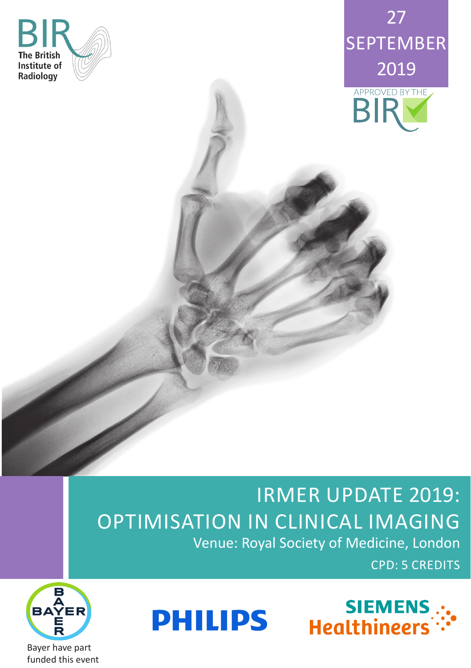





## IRMER UPDATE 2019: OPTIMISATION IN CLINICAL IMAGING Venue: Royal Society of Medicine, London

CPD: 5 CREDITS





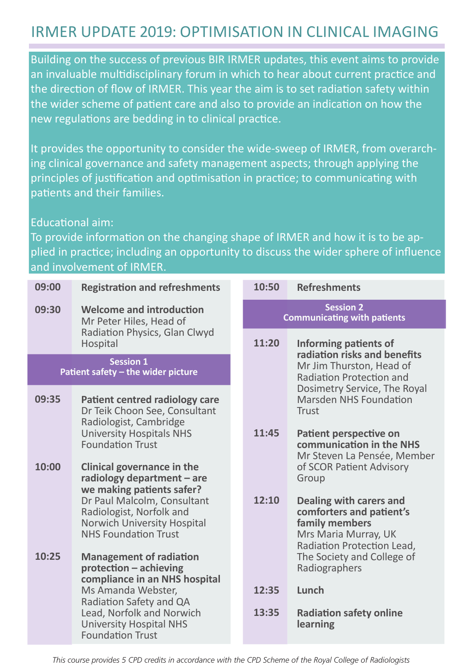## IRMER UPDATE 2019: OPTIMISATION IN CLINICAL IMAGING

Building on the success of previous BIR IRMER updates, this event aims to provide an invaluable multidisciplinary forum in which to hear about current practice and the direction of flow of IRMER. This year the aim is to set radiation safety within the wider scheme of patient care and also to provide an indication on how the new regulations are bedding in to clinical practice.

It provides the opportunity to consider the wide-sweep of IRMER, from overarching clinical governance and safety management aspects; through applying the principles of justification and optimisation in practice; to communicating with patients and their families.

Educational aim:

To provide information on the changing shape of IRMER and how it is to be applied in practice; including an opportunity to discuss the wider sphere of influence and involvement of IRMER.

| 09:00                                                  | <b>Registration and refreshments</b>                                                                                                                                                                                          | 10:50                                                  | <b>Refreshments</b>                                                                           |  |
|--------------------------------------------------------|-------------------------------------------------------------------------------------------------------------------------------------------------------------------------------------------------------------------------------|--------------------------------------------------------|-----------------------------------------------------------------------------------------------|--|
| 09:30                                                  | Welcome and introduction<br>Mr Peter Hiles, Head of<br>Radiation Physics, Glan Clwyd<br>Hospital                                                                                                                              | <b>Session 2</b><br><b>Communicating with patients</b> |                                                                                               |  |
|                                                        |                                                                                                                                                                                                                               | 11:20                                                  | Informing patients of<br>radiation risks and benefits                                         |  |
| <b>Session 1</b><br>Patient safety - the wider picture |                                                                                                                                                                                                                               |                                                        | Mr Jim Thurston, Head of<br>Radiation Protection and                                          |  |
| 09:35                                                  | Patient centred radiology care<br>Dr Teik Choon See, Consultant<br>Radiologist, Cambridge                                                                                                                                     |                                                        | Dosimetry Service, The Royal<br>Marsden NHS Foundation<br>Trust                               |  |
|                                                        | <b>University Hospitals NHS</b><br><b>Foundation Trust</b>                                                                                                                                                                    | 11:45                                                  | Patient perspective on<br>communication in the NHS<br>Mr Steven La Pensée, Member             |  |
| 10:00                                                  | Clinical governance in the<br>radiology department - are<br>we making patients safer?                                                                                                                                         |                                                        | of SCOR Patient Advisory<br>Group                                                             |  |
|                                                        | Dr Paul Malcolm, Consultant<br>Radiologist, Norfolk and<br>Norwich University Hospital<br><b>NHS Foundation Trust</b>                                                                                                         | 12:10                                                  | Dealing with carers and<br>comforters and patient's<br>family members<br>Mrs Maria Murray, UK |  |
| 10:25                                                  | <b>Management of radiation</b><br>protection - achieving<br>compliance in an NHS hospital<br>Ms Amanda Webster,<br>Radiation Safety and QA<br>Lead, Norfolk and Norwich<br>University Hospital NHS<br><b>Foundation Trust</b> |                                                        | Radiation Protection Lead,<br>The Society and College of<br>Radiographers                     |  |
|                                                        |                                                                                                                                                                                                                               | 12:35                                                  | Lunch                                                                                         |  |
|                                                        |                                                                                                                                                                                                                               | 13:35                                                  | <b>Radiation safety online</b><br>learning                                                    |  |

*This course provides 5 CPD credits in accordance with the CPD Scheme of the Royal College of Radiologists*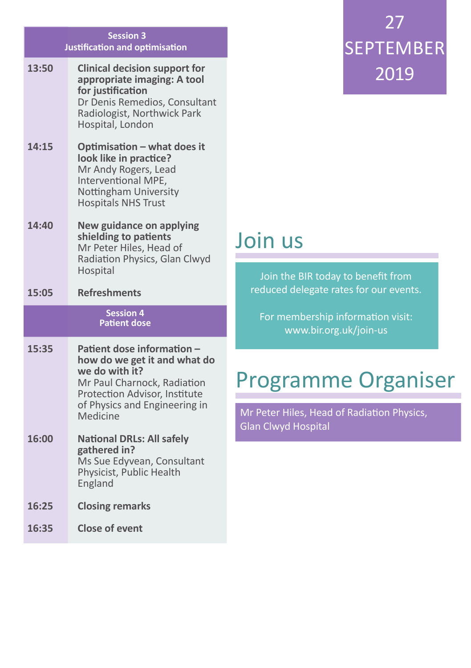## **Session 3 Justification and optimisation**

| 13:50 | <b>Clinical decision support for</b><br>appropriate imaging: A tool<br>for justification<br>Dr Denis Remedios, Consultant<br>Radiologist, Northwick Park<br>Hospital, London |
|-------|------------------------------------------------------------------------------------------------------------------------------------------------------------------------------|
|       |                                                                                                                                                                              |

## **14:15 Optimisation – what does it look like in practice?**  Mr Andy Rogers, Lead Interventional MPE, Nottingham University Hospitals NHS Trust

- **14:40 New guidance on applying shielding to patients**  Mr Peter Hiles, Head of Radiation Physics, Glan Clwyd **Hospital**
- **15:05 Refreshments**

**Session 4 Patient dose**

- **15:35 Patient dose information – how do we get it and what do we do with it?** Mr Paul Charnock, Radiation Protection Advisor, Institute of Physics and Engineering in Medicine
- **16:00 National DRLs: All safely gathered in?** Ms Sue Edyvean, Consultant Physicist, Public Health England
- **16:25 Closing remarks**
- **16:35 Close of event**

# 27 SEPTEMBER 2019

# Join us

Join the BIR today to benefit from reduced delegate rates for our events.

For membership information visit: www.bir.org.uk/join-us

# Programme Organiser

Mr Peter Hiles, Head of Radiation Physics, Glan Clwyd Hospital